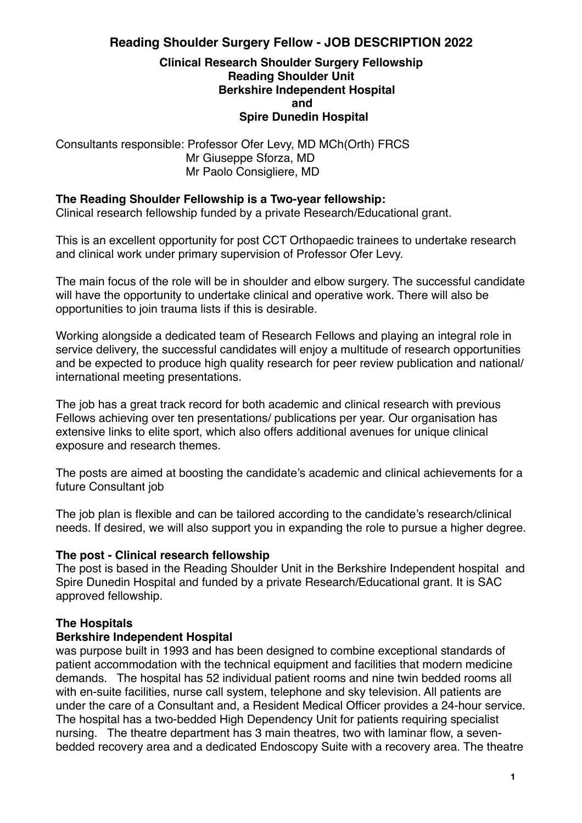# **Reading Shoulder Surgery Fellow - JOB DESCRIPTION 2022**

#### **Clinical Research Shoulder Surgery Fellowship Reading Shoulder Unit Berkshire Independent Hospital and Spire Dunedin Hospital**

Consultants responsible: Professor Ofer Levy, MD MCh(Orth) FRCS Mr Giuseppe Sforza, MD Mr Paolo Consigliere, MD

#### **The Reading Shoulder Fellowship is a Two-year fellowship:**

Clinical research fellowship funded by a private Research/Educational grant.

This is an excellent opportunity for post CCT Orthopaedic trainees to undertake research and clinical work under primary supervision of Professor Ofer Levy.

The main focus of the role will be in shoulder and elbow surgery. The successful candidate will have the opportunity to undertake clinical and operative work. There will also be opportunities to join trauma lists if this is desirable.

Working alongside a dedicated team of Research Fellows and playing an integral role in service delivery, the successful candidates will enjoy a multitude of research opportunities and be expected to produce high quality research for peer review publication and national/ international meeting presentations.

The job has a great track record for both academic and clinical research with previous Fellows achieving over ten presentations/ publications per year. Our organisation has extensive links to elite sport, which also offers additional avenues for unique clinical exposure and research themes.

The posts are aimed at boosting the candidate's academic and clinical achievements for a future Consultant job

The job plan is flexible and can be tailored according to the candidate's research/clinical needs. If desired, we will also support you in expanding the role to pursue a higher degree.

#### **The post - Clinical research fellowship**

The post is based in the Reading Shoulder Unit in the Berkshire Independent hospital and Spire Dunedin Hospital and funded by a private Research/Educational grant. It is SAC approved fellowship.

#### **The Hospitals**

#### **Berkshire Independent Hospital**

was purpose built in 1993 and has been designed to combine exceptional standards of patient accommodation with the technical equipment and facilities that modern medicine demands. The hospital has 52 individual patient rooms and nine twin bedded rooms all with en-suite facilities, nurse call system, telephone and sky television. All patients are under the care of a Consultant and, a Resident Medical Officer provides a 24-hour service. The hospital has a two-bedded High Dependency Unit for patients requiring specialist nursing. The theatre department has 3 main theatres, two with laminar flow, a sevenbedded recovery area and a dedicated Endoscopy Suite with a recovery area. The theatre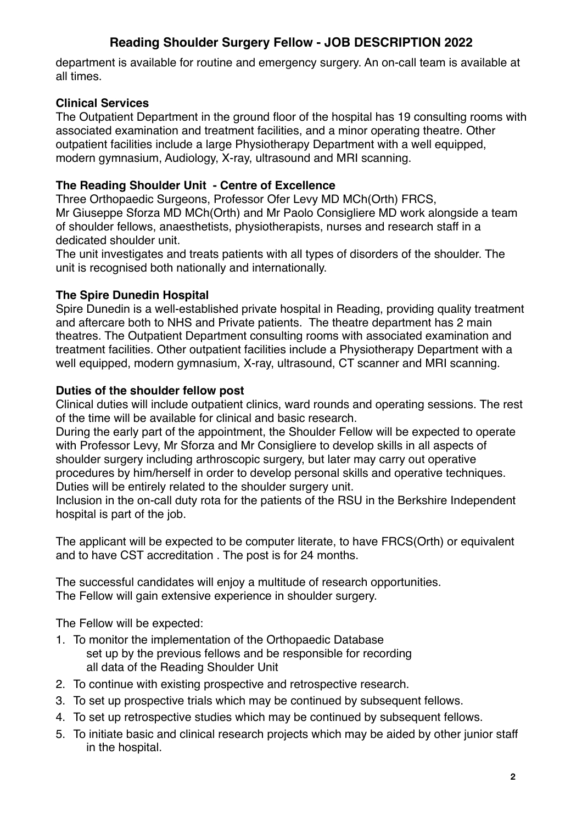# **Reading Shoulder Surgery Fellow - JOB DESCRIPTION 2022**

department is available for routine and emergency surgery. An on-call team is available at all times.

### **Clinical Services**

The Outpatient Department in the ground floor of the hospital has 19 consulting rooms with associated examination and treatment facilities, and a minor operating theatre. Other outpatient facilities include a large Physiotherapy Department with a well equipped, modern gymnasium, Audiology, X-ray, ultrasound and MRI scanning.

# **The Reading Shoulder Unit - Centre of Excellence**

Three Orthopaedic Surgeons, Professor Ofer Levy MD MCh(Orth) FRCS, Mr Giuseppe Sforza MD MCh(Orth) and Mr Paolo Consigliere MD work alongside a team of shoulder fellows, anaesthetists, physiotherapists, nurses and research staff in a dedicated shoulder unit.

The unit investigates and treats patients with all types of disorders of the shoulder. The unit is recognised both nationally and internationally.

# **The Spire Dunedin Hospital**

Spire Dunedin is a well-established private hospital in Reading, providing quality treatment and aftercare both to NHS and Private patients. The theatre department has 2 main theatres. The Outpatient Department consulting rooms with associated examination and treatment facilities. Other outpatient facilities include a Physiotherapy Department with a well equipped, modern gymnasium, X-ray, ultrasound, CT scanner and MRI scanning.

# **Duties of the shoulder fellow post**

Clinical duties will include outpatient clinics, ward rounds and operating sessions. The rest of the time will be available for clinical and basic research.

During the early part of the appointment, the Shoulder Fellow will be expected to operate with Professor Levy, Mr Sforza and Mr Consigliere to develop skills in all aspects of shoulder surgery including arthroscopic surgery, but later may carry out operative procedures by him/herself in order to develop personal skills and operative techniques. Duties will be entirely related to the shoulder surgery unit.

Inclusion in the on-call duty rota for the patients of the RSU in the Berkshire Independent hospital is part of the job.

The applicant will be expected to be computer literate, to have FRCS(Orth) or equivalent and to have CST accreditation . The post is for 24 months.

The successful candidates will enjoy a multitude of research opportunities. The Fellow will gain extensive experience in shoulder surgery.

The Fellow will be expected:

- 1. To monitor the implementation of the Orthopaedic Database set up by the previous fellows and be responsible for recording all data of the Reading Shoulder Unit
- 2. To continue with existing prospective and retrospective research.
- 3. To set up prospective trials which may be continued by subsequent fellows.
- 4. To set up retrospective studies which may be continued by subsequent fellows.
- 5. To initiate basic and clinical research projects which may be aided by other junior staff in the hospital.